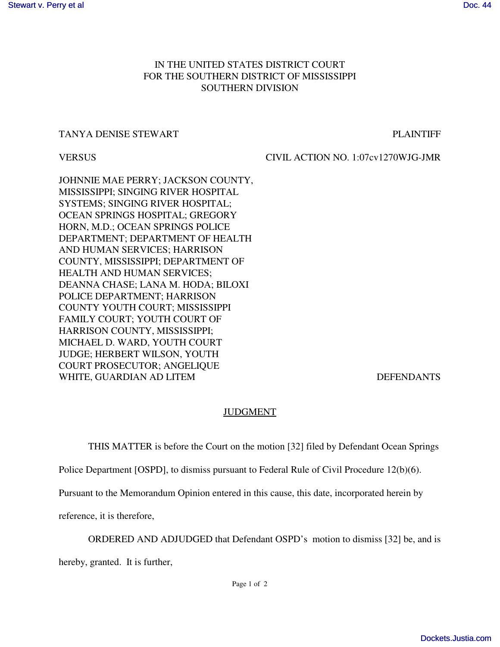## IN THE UNITED STATES DISTRICT COURT FOR THE SOUTHERN DISTRICT OF MISSISSIPPI SOUTHERN DIVISION

## TANYA DENISE STEWART FRAME AND TANYA DENISE STEWART

VERSUS CIVIL ACTION NO. 1:07cv1270WJG-JMR

JOHNNIE MAE PERRY; JACKSON COUNTY, MISSISSIPPI; SINGING RIVER HOSPITAL SYSTEMS; SINGING RIVER HOSPITAL; OCEAN SPRINGS HOSPITAL; GREGORY HORN, M.D.; OCEAN SPRINGS POLICE DEPARTMENT; DEPARTMENT OF HEALTH AND HUMAN SERVICES; HARRISON COUNTY, MISSISSIPPI; DEPARTMENT OF HEALTH AND HUMAN SERVICES; DEANNA CHASE; LANA M. HODA; BILOXI POLICE DEPARTMENT; HARRISON COUNTY YOUTH COURT; MISSISSIPPI FAMILY COURT; YOUTH COURT OF HARRISON COUNTY, MISSISSIPPI; MICHAEL D. WARD, YOUTH COURT JUDGE; HERBERT WILSON, YOUTH COURT PROSECUTOR; ANGELIQUE WHITE, GUARDIAN AD LITEM DEFENDANTS

## JUDGMENT

THIS MATTER is before the Court on the motion [32] filed by Defendant Ocean Springs

Police Department [OSPD], to dismiss pursuant to Federal Rule of Civil Procedure 12(b)(6).

Pursuant to the Memorandum Opinion entered in this cause, this date, incorporated herein by

reference, it is therefore,

ORDERED AND ADJUDGED that Defendant OSPD's motion to dismiss [32] be, and is

hereby, granted. It is further,